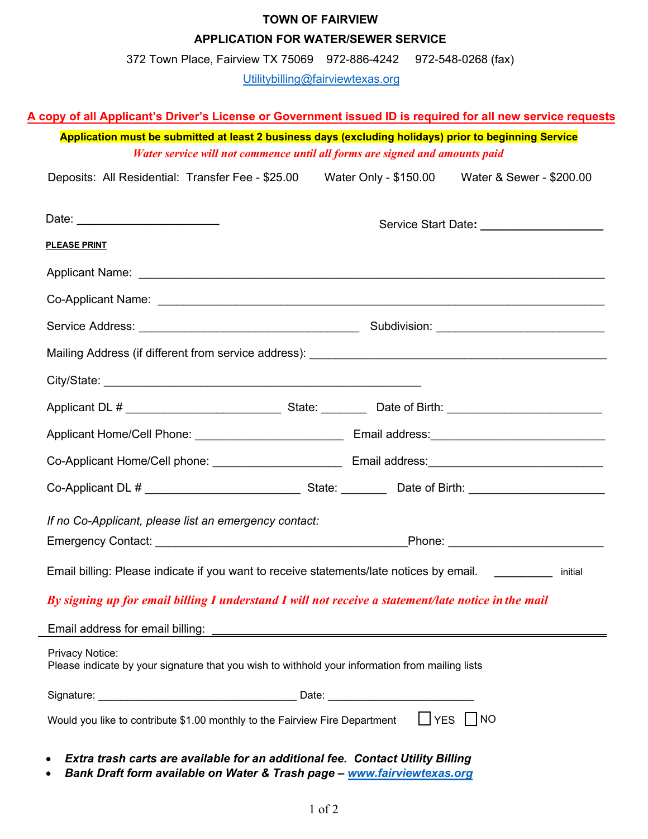## **TOWN OF FAIRVIEW APPLICATION FOR WATER/SEWER SERVICE**

372 Town Place, Fairview TX 75069 972-886-4242 972-548-0268 (fax)

Utilitybilling@fairviewtexas.org

## **A copy of all Applicant's Driver's License or Government issued ID is required for all new service requests**

**Application must be submitted at least 2 business days (excluding holidays) prior to beginning Service** *Water service will not commence until all forms are signed and amounts paid*

| Deposits: All Residential: Transfer Fee - \$25.00 | Water Only - \$150.00 | Water & Sewer - \$200.00 |  |
|---------------------------------------------------|-----------------------|--------------------------|--|
|                                                   |                       |                          |  |

| <b>PLEASE PRINT</b>                                                                                                |  |  |  |  |  |
|--------------------------------------------------------------------------------------------------------------------|--|--|--|--|--|
|                                                                                                                    |  |  |  |  |  |
|                                                                                                                    |  |  |  |  |  |
|                                                                                                                    |  |  |  |  |  |
| Mailing Address (if different from service address): ____________________________                                  |  |  |  |  |  |
|                                                                                                                    |  |  |  |  |  |
|                                                                                                                    |  |  |  |  |  |
|                                                                                                                    |  |  |  |  |  |
|                                                                                                                    |  |  |  |  |  |
|                                                                                                                    |  |  |  |  |  |
| If no Co-Applicant, please list an emergency contact:                                                              |  |  |  |  |  |
|                                                                                                                    |  |  |  |  |  |
| Email billing: Please indicate if you want to receive statements/late notices by email.<br>initial                 |  |  |  |  |  |
| By signing up for email billing I understand I will not receive a statement/late notice in the mail                |  |  |  |  |  |
|                                                                                                                    |  |  |  |  |  |
| Privacy Notice:<br>Please indicate by your signature that you wish to withhold your information from mailing lists |  |  |  |  |  |
|                                                                                                                    |  |  |  |  |  |
| Would you like to contribute \$1.00 monthly to the Fairview Fire Department   YES   NO                             |  |  |  |  |  |

- *Extra trash carts are available for an additional fee. Contact Utility Billing*
- *Bank Draft form available on Water & Trash page www.fairviewtexas.org*